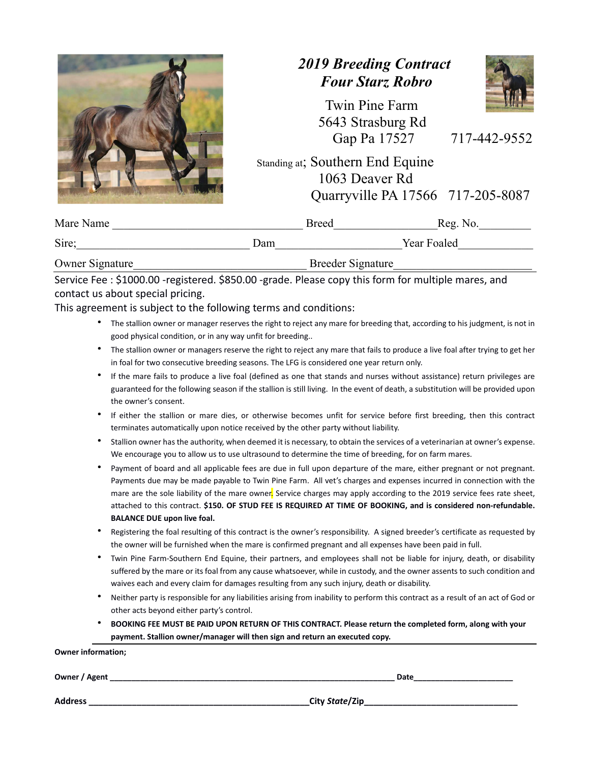## *2019 Breeding Contract Four Starz Robro*



 Twin Pine Farm 5643 Strasburg Rd Gap Pa 17527 717-442-9552

 Standing at; Southern End Equine 1063 Deaver Rd Quarryville PA 17566 717-205-8087

| Mare Name       |                          | <b>Breed</b> | Reg. No.    |
|-----------------|--------------------------|--------------|-------------|
| Sire;           | Dam                      |              | Year Foaled |
| Owner Signature | <b>Breeder Signature</b> |              |             |

Service Fee : \$1000.00 ‐registered. \$850.00 ‐grade. Please copy this form for multiple mares, and contact us about special pricing.

This agreement is subject to the following terms and conditions:

- · The stallion owner or manager reserves the right to reject any mare for breeding that, according to his judgment, is not in good physical condition, or in any way unfit for breeding..
- · The stallion owner or managers reserve the right to reject any mare that fails to produce a live foal after trying to get her in foal for two consecutive breeding seasons. The LFG is considered one year return only.
- If the mare fails to produce a live foal (defined as one that stands and nurses without assistance) return privileges are guaranteed for the following season if the stallion is still living. In the event of death, a substitution will be provided upon the owner's consent.
- If either the stallion or mare dies, or otherwise becomes unfit for service before first breeding, then this contract terminates automatically upon notice received by the other party without liability.
- · Stallion owner has the authority, when deemed it is necessary, to obtain the services of a veterinarian at owner's expense. We encourage you to allow us to use ultrasound to determine the time of breeding, for on farm mares.
- Payment of board and all applicable fees are due in full upon departure of the mare, either pregnant or not pregnant. Payments due may be made payable to Twin Pine Farm. All vet's charges and expenses incurred in connection with the mare are the sole liability of the mare owner. Service charges may apply according to the 2019 service fees rate sheet, attached to this contract. \$150. OF STUD FEE IS REQUIRED AT TIME OF BOOKING, and is considered non-refundable. **BALANCE DUE upon live foal.**
- · Registering the foal resulting of this contract is the owner's responsibility. A signed breeder's certificate as requested by the owner will be furnished when the mare is confirmed pregnant and all expenses have been paid in full.
- Twin Pine Farm-Southern End Equine, their partners, and employees shall not be liable for injury, death, or disability suffered by the mare or its foal from any cause whatsoever, while in custody, and the owner assents to such condition and waives each and every claim for damages resulting from any such injury, death or disability.
- Neither party is responsible for any liabilities arising from inability to perform this contract as a result of an act of God or other acts beyond either party's control.
- · **BOOKING FEE MUST BE PAID UPON RETURN OF THIS CONTRACT. Please return the completed form, along with your payment. Stallion owner/manager will then sign and return an executed copy.**

**Owner information;**

**Owner / Agent \_\_\_\_\_\_\_\_\_\_\_\_\_\_\_\_\_\_\_\_\_\_\_\_\_\_\_\_\_\_\_\_\_\_\_\_\_\_\_\_\_\_\_\_\_\_\_\_\_\_\_\_\_\_\_\_\_\_\_\_\_\_\_\_\_\_ Date\_\_\_\_\_\_\_\_\_\_\_\_\_\_\_\_\_\_\_\_\_\_\_**